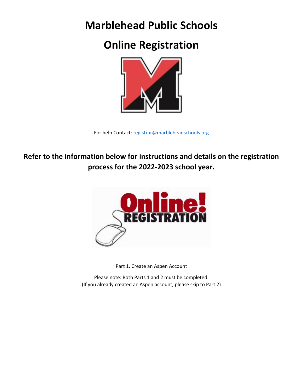# **Marblehead Public Schools**

# **Online Registration**



For help Contact: [registrar@marbleheadschools.org](mailto:registrar@marbleheadschools.org)

**Refer to the information below for instructions and details on the registration process for the 2022-2023 school year.**



Part 1. Create an Aspen Account

Please note: Both Parts 1 and 2 must be completed. (If you already created an Aspen account, please skip to Part 2)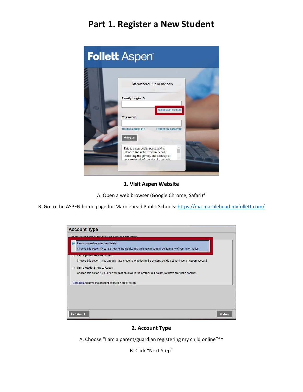## **Part 1. Register a New Student**

| <b>Follett Aspent</b>                                                                                                                                           |
|-----------------------------------------------------------------------------------------------------------------------------------------------------------------|
| <b>Marblehead Public Schools</b>                                                                                                                                |
| <b>Family Login ID</b>                                                                                                                                          |
| Request an account<br>Password                                                                                                                                  |
| Trouble logging in?<br>I forgot my password<br>D Log On                                                                                                         |
| This is a non-public portal and is<br>intended for authorized users only.<br>Protecting the privacy and security of<br>vour nersonal information is a priority. |

#### **1. Visit Aspen Website**

A. Open a web browser (Google Chrome, Safari)\*

B. Go to the ASPEN home page for Marblehead Public Schools:<https://ma-marblehead.myfollett.com/>

| <b>Account Type</b>                                                                                                                                                                                                                                                                |
|------------------------------------------------------------------------------------------------------------------------------------------------------------------------------------------------------------------------------------------------------------------------------------|
| Please choose one of the available account types below.                                                                                                                                                                                                                            |
| l<br>I am a parent new to the district<br>Choose this option if you are new to the district and the system doesn't contain any of your information.                                                                                                                                |
| ram a parent new to Aspen<br>Choose this option if you already have students enrolled in the system, but do not yet have an Aspen account.<br>I am a student new to Aspen<br>Choose this option if you are a student enrolled in the system, but do not yet have an Aspen account. |
| Click here to have the account validation email resent                                                                                                                                                                                                                             |
| Next Step<br><b>X</b> Close                                                                                                                                                                                                                                                        |

#### **2. Account Type**

A. Choose "I am a parent/guardian registering my child online"\*\*

B. Click "Next Step"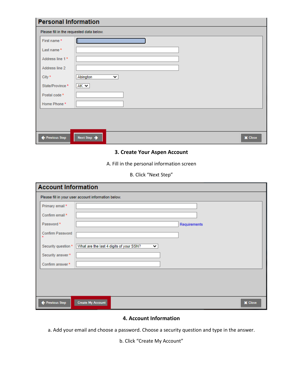| Please fill in the requested data below. |                               |
|------------------------------------------|-------------------------------|
| First name*                              | ſ                             |
| Last name*                               |                               |
| Address line 1*                          |                               |
| Address line 2                           |                               |
| City *                                   | Abington<br>$\checkmark$      |
| State/Province*                          | $AK \vee$                     |
| Postal code *                            |                               |
| Home Phone*                              |                               |
|                                          |                               |
|                                          |                               |
|                                          |                               |
| ← Previous Step                          | Next Step ><br><b>X</b> Close |

#### **3. Create Your Aspen Account**

A. Fill in the personal information screen

| B. Click "Next Step" |
|----------------------|
|                      |

| <b>Account Information</b>  |                                                         |  |  |  |  |  |
|-----------------------------|---------------------------------------------------------|--|--|--|--|--|
|                             | Please fill in your user account information below.     |  |  |  |  |  |
| Primary email *             |                                                         |  |  |  |  |  |
| Confirm email *             |                                                         |  |  |  |  |  |
| Password *                  | Requirements                                            |  |  |  |  |  |
| Confirm Password<br>$\star$ |                                                         |  |  |  |  |  |
| Security question *         | What are the last 4 digits of your SSN?<br>$\checkmark$ |  |  |  |  |  |
| Security answer*            |                                                         |  |  |  |  |  |
| Confirm answer*             |                                                         |  |  |  |  |  |
|                             |                                                         |  |  |  |  |  |
|                             |                                                         |  |  |  |  |  |
|                             |                                                         |  |  |  |  |  |
| Previous Step               | <b>Create My Account</b><br><b>X</b> Close              |  |  |  |  |  |

#### **4. Account Information**

a. Add your email and choose a password. Choose a security question and type in the answer.

b. Click "Create My Account"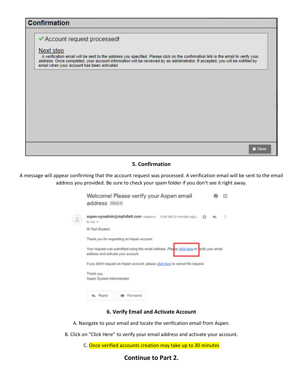### **Confirmation**

### Account request processed!

#### <u>Next step</u>

A verification email will be sent to the address you specified. Please click on the confirmation link in the email to verify your address. Once completed, your account information will be reviewed by an administrator. If a email when your account has been activated.

|  | <b>X</b> Close<br>_______ |
|--|---------------------------|
|  |                           |
|  |                           |
|  |                           |
|  |                           |
|  |                           |
|  |                           |

#### **5. Confirmation**

A message will appear confirming that the account request was processed. A verification email will be sent to the email address you provided. Be sure to check your spam folder if you don't see it right away.

| Welcome! Please verify your Aspen email<br>address Inbox x                                                                        |  |
|-----------------------------------------------------------------------------------------------------------------------------------|--|
| aspen-sysadmin@myfollett.com <aspen-s (0="" 9:44="" ago)<br="" am="" minutes="">to me =</aspen-s>                                 |  |
| Hi Test Student.                                                                                                                  |  |
| Thank you for requesting an Aspen account.                                                                                        |  |
| Your request was submitted using this email address. Please click here to verify your email<br>address and activate your account. |  |
| If you didn't request an Aspen account, please click here to cancel the request.                                                  |  |
| Thank you.<br>Aspen System Administrator                                                                                          |  |
| Forward<br>Reply                                                                                                                  |  |

#### **6. Verify Email and Activate Account**

A. Navigate to your email and locate the verification email from Aspen.

- B. Click on "Click Here" to verify your email address and activate your account.
	- C. Once verified accounts creation may take up to 30 minutes

#### **Continue to Part 2.**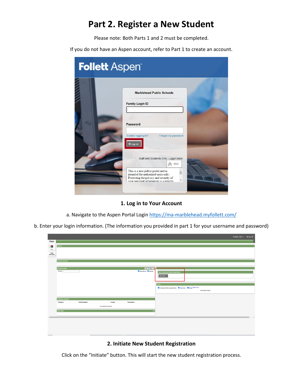## **Part 2. Register a New Student**

Please note: Both Parts 1 and 2 must be completed.

If you do not have an Aspen account, refer to Part 1 to create an account.

| <b>Follett Aspent</b> |                                                                                                                                                                                                                                                                                                                                                     |
|-----------------------|-----------------------------------------------------------------------------------------------------------------------------------------------------------------------------------------------------------------------------------------------------------------------------------------------------------------------------------------------------|
|                       | <b>Marblehead Public Schools</b><br><b>Family Login ID</b><br>Password<br>Trouble logging in?<br>I forgot my password<br>D Log On<br>Staff and Students Only - Login Here:<br>SSO<br>This is a non-public portal and is<br>intended for authorized users only.<br>Protecting the privacy and security of<br>your personal information is a priority |

**1. Log in to Your Account**

a. Navigate to the Aspen Portal Login<https://ma-marblehead.myfollett.com/>

b. Enter your login information. (The information you provided in part 1 for your username and password)

|                   |                          |              |                      |                      |                                                                                | Student, Test + 6+ Log Off |  |
|-------------------|--------------------------|--------------|----------------------|----------------------|--------------------------------------------------------------------------------|----------------------------|--|
| Pages             |                          |              |                      |                      |                                                                                |                            |  |
| 金                 | Banner                   |              |                      |                      |                                                                                |                            |  |
| Home              |                          |              |                      |                      |                                                                                |                            |  |
| Page<br>Directory |                          |              |                      |                      |                                                                                |                            |  |
|                   |                          |              |                      |                      |                                                                                |                            |  |
|                   | <b>Announcements</b>     |              |                      |                      |                                                                                |                            |  |
|                   | <b>Recent Activity</b>   |              |                      | Last 30 days v       |                                                                                |                            |  |
|                   | Search:                  |              |                      | Mattendance M Grades | Start a new New Student Registration                                           |                            |  |
|                   |                          |              |                      |                      | $+$ Initiate                                                                   |                            |  |
|                   |                          |              |                      |                      |                                                                                |                            |  |
|                   |                          |              |                      |                      | To Do                                                                          |                            |  |
|                   |                          |              |                      |                      | V Overdue Online Assignments V Tomorrow V Today Week View<br>No student found. |                            |  |
|                   |                          |              |                      |                      |                                                                                |                            |  |
|                   | <b>Published Reports</b> |              |                      |                      |                                                                                |                            |  |
|                   | Filename                 | DateUploaded | Creator              | Description          |                                                                                |                            |  |
|                   |                          |              | No published reports |                      |                                                                                |                            |  |
|                   | <b>Web Sites</b>         |              |                      | Edit                 |                                                                                |                            |  |
|                   |                          |              |                      |                      |                                                                                |                            |  |
|                   |                          |              |                      |                      |                                                                                |                            |  |
|                   |                          |              |                      |                      |                                                                                |                            |  |
|                   |                          |              |                      |                      |                                                                                |                            |  |
|                   |                          |              |                      |                      |                                                                                |                            |  |
|                   |                          |              |                      |                      |                                                                                |                            |  |

#### **2. Initiate New Student Registration**

Click on the "Initiate" button. This will start the new student registration process.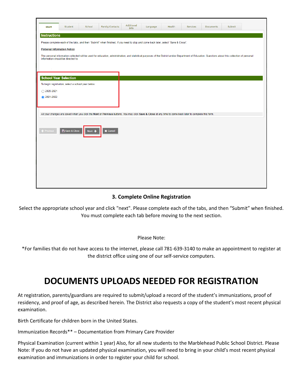| <b>Start</b>         | Student                                            | School               | Family/Contacts                                                                                                                                          | Additional<br>Info | Language | Health | <b>Services</b> | <b>Documents</b> | Submit                                                                                                                                                                                              |
|----------------------|----------------------------------------------------|----------------------|----------------------------------------------------------------------------------------------------------------------------------------------------------|--------------------|----------|--------|-----------------|------------------|-----------------------------------------------------------------------------------------------------------------------------------------------------------------------------------------------------|
| Instructions         |                                                    |                      |                                                                                                                                                          |                    |          |        |                 |                  |                                                                                                                                                                                                     |
|                      |                                                    |                      | Please complete each of the tabs, and then "Submit" when finished. If you need to stop and come back later, select "Save & Close".                       |                    |          |        |                 |                  |                                                                                                                                                                                                     |
|                      | <b>Personal Information Notice</b>                 |                      |                                                                                                                                                          |                    |          |        |                 |                  |                                                                                                                                                                                                     |
|                      | information should be directed to:                 |                      |                                                                                                                                                          |                    |          |        |                 |                  | The personal information collected will be used for education, administration, and statistical purposes of the District and/or Department of Education. Questions about this collection of personal |
|                      |                                                    |                      |                                                                                                                                                          |                    |          |        |                 |                  |                                                                                                                                                                                                     |
|                      |                                                    |                      |                                                                                                                                                          |                    |          |        |                 |                  |                                                                                                                                                                                                     |
|                      | <b>School Year Selection</b>                       |                      |                                                                                                                                                          |                    |          |        |                 |                  |                                                                                                                                                                                                     |
|                      | To begin registration, select a school year below: |                      |                                                                                                                                                          |                    |          |        |                 |                  |                                                                                                                                                                                                     |
| $\bigcirc$ 2020-2021 |                                                    |                      |                                                                                                                                                          |                    |          |        |                 |                  |                                                                                                                                                                                                     |
| ● 2021-2022          |                                                    |                      |                                                                                                                                                          |                    |          |        |                 |                  |                                                                                                                                                                                                     |
|                      |                                                    |                      |                                                                                                                                                          |                    |          |        |                 |                  |                                                                                                                                                                                                     |
|                      |                                                    |                      | All your changes are saved when you click the Next or Previous buttons. You may click Save & Close at any time to come back later to complete this form. |                    |          |        |                 |                  |                                                                                                                                                                                                     |
|                      |                                                    |                      |                                                                                                                                                          |                    |          |        |                 |                  |                                                                                                                                                                                                     |
|                      |                                                    |                      |                                                                                                                                                          |                    |          |        |                 |                  |                                                                                                                                                                                                     |
| ← Previous           | <b>B</b> Save & Close                              | $Next$ $\rightarrow$ | <b>X</b> Cancel                                                                                                                                          |                    |          |        |                 |                  |                                                                                                                                                                                                     |
|                      |                                                    |                      |                                                                                                                                                          |                    |          |        |                 |                  |                                                                                                                                                                                                     |
|                      |                                                    |                      |                                                                                                                                                          |                    |          |        |                 |                  |                                                                                                                                                                                                     |
|                      |                                                    |                      |                                                                                                                                                          |                    |          |        |                 |                  |                                                                                                                                                                                                     |
|                      |                                                    |                      |                                                                                                                                                          |                    |          |        |                 |                  |                                                                                                                                                                                                     |
|                      |                                                    |                      |                                                                                                                                                          |                    |          |        |                 |                  |                                                                                                                                                                                                     |
|                      |                                                    |                      |                                                                                                                                                          |                    |          |        |                 |                  |                                                                                                                                                                                                     |
|                      |                                                    |                      |                                                                                                                                                          |                    |          |        |                 |                  |                                                                                                                                                                                                     |

#### **3. Complete Online Registration**

Select the appropriate school year and click "next". Please complete each of the tabs, and then "Submit" when finished. You must complete each tab before moving to the next section.

#### Please Note:

\*For families that do not have access to the internet, please call 781-639-3140 to make an appointment to register at the district office using one of our self-service computers.

## **DOCUMENTS UPLOADS NEEDED FOR REGISTRATION**

At registration, parents/guardians are required to submit/upload a record of the student's immunizations, proof of residency, and proof of age, as described herein. The District also requests a copy of the student's most recent physical examination.

Birth Certificate for children born in the United States.

Immunization Records\*\* – Documentation from Primary Care Provider

Physical Examination (current within 1 year) Also, for all new students to the Marblehead Public School District. Please Note: If you do not have an updated physical examination, you will need to bring in your child's most recent physical examination and immunizations in order to register your child for school.